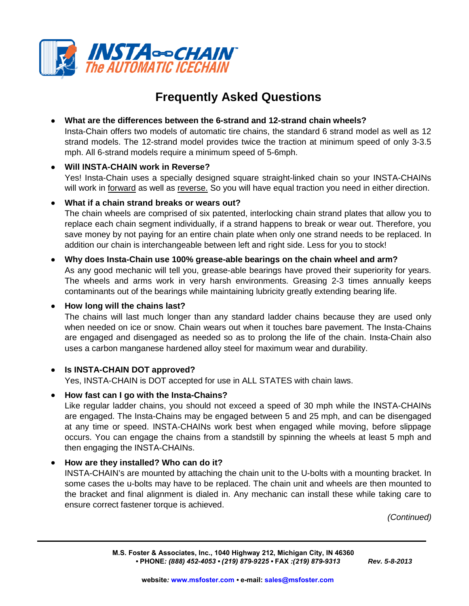

# **Frequently Asked Questions**

## **What are the differences between the 6-strand and 12-strand chain wheels?**

Insta-Chain offers two models of automatic tire chains, the standard 6 strand model as well as 12 strand models. The 12-strand model provides twice the traction at minimum speed of only 3-3.5 mph. All 6-strand models require a minimum speed of 5-6mph.

#### **Will INSTA-CHAIN work in Reverse?**

Yes! Insta-Chain uses a specially designed square straight-linked chain so your INSTA-CHAINs will work in <u>forward</u> as well as reverse. So you will have equal traction you need in either direction.

#### **What if a chain strand breaks or wears out?**

The chain wheels are comprised of six patented, interlocking chain strand plates that allow you to replace each chain segment individually, if a strand happens to break or wear out. Therefore, you save money by not paying for an entire chain plate when only one strand needs to be replaced. In addition our chain is interchangeable between left and right side. Less for you to stock!

## **Why does Insta-Chain use 100% grease-able bearings on the chain wheel and arm?**

As any good mechanic will tell you, grease-able bearings have proved their superiority for years. The wheels and arms work in very harsh environments. Greasing 2-3 times annually keeps contaminants out of the bearings while maintaining lubricity greatly extending bearing life.

**How long will the chains last?**

The chains will last much longer than any standard ladder chains because they are used only when needed on ice or snow. Chain wears out when it touches bare pavement. The Insta-Chains are engaged and disengaged as needed so as to prolong the life of the chain. Insta-Chain also uses a carbon manganese hardened alloy steel for maximum wear and durability.

## **Is INSTA-CHAIN DOT approved?**

Yes, INSTA-CHAIN is DOT accepted for use in ALL STATES with chain laws.

## **How fast can I go with the Insta-Chains?**

Like regular ladder chains, you should not exceed a speed of 30 mph while the INSTA-CHAINs are engaged. The Insta-Chains may be engaged between 5 and 25 mph, and can be disengaged at any time or speed. INSTA-CHAINs work best when engaged while moving, before slippage occurs. You can engage the chains from a standstill by spinning the wheels at least 5 mph and then engaging the INSTA-CHAINs.

## **How are they installed? Who can do it?**

INSTA-CHAIN's are mounted by attaching the chain unit to the U-bolts with a mounting bracket. In some cases the u-bolts may have to be replaced. The chain unit and wheels are then mounted to the bracket and final alignment is dialed in. Any mechanic can install these while taking care to ensure correct fastener torque is achieved.

*(Continued)*